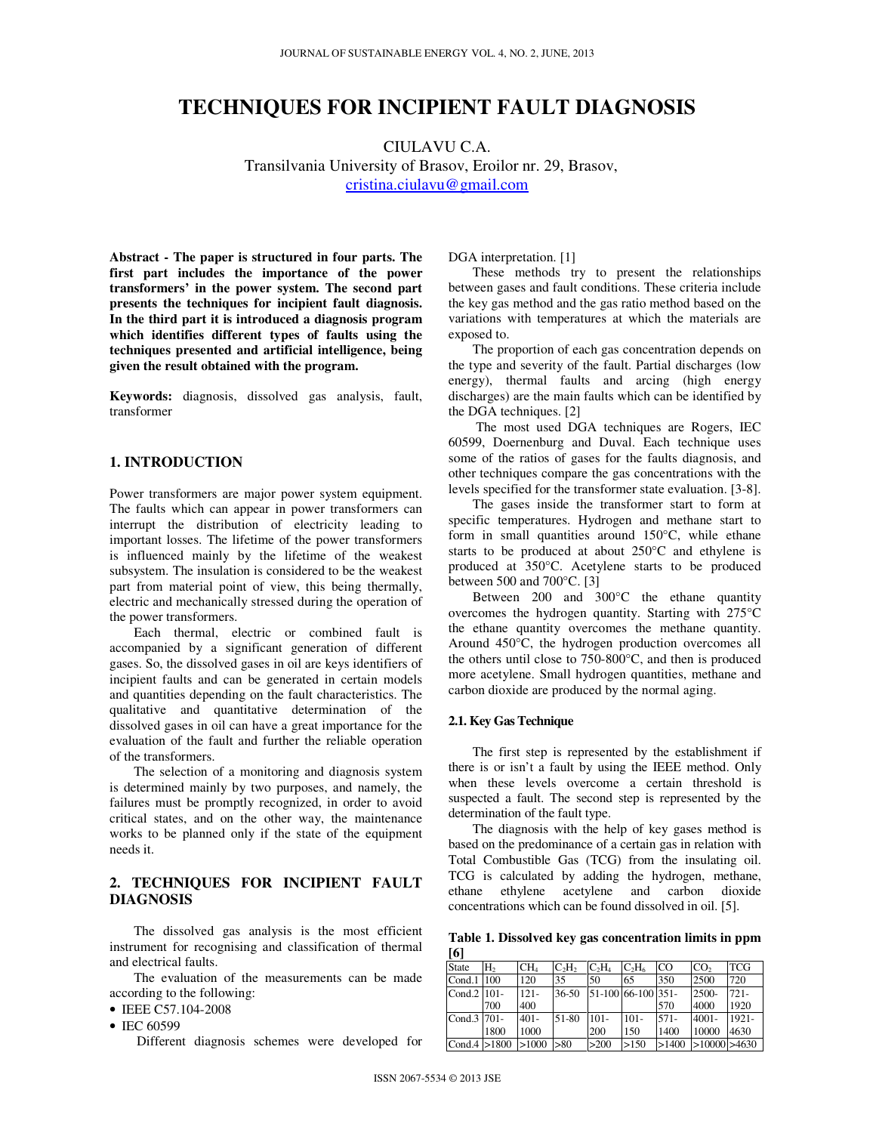# **TECHNIQUES FOR INCIPIENT FAULT DIAGNOSIS**

CIULAVU C.A. Transilvania University of Brasov, Eroilor nr. 29, Brasov, cristina.ciulavu@gmail.com

**Abstract - The paper is structured in four parts. The first part includes the importance of the power transformers' in the power system. The second part presents the techniques for incipient fault diagnosis. In the third part it is introduced a diagnosis program which identifies different types of faults using the techniques presented and artificial intelligence, being given the result obtained with the program.** 

**Keywords:** diagnosis, dissolved gas analysis, fault, transformer

## **1. INTRODUCTION**

Power transformers are major power system equipment. The faults which can appear in power transformers can interrupt the distribution of electricity leading to important losses. The lifetime of the power transformers is influenced mainly by the lifetime of the weakest subsystem. The insulation is considered to be the weakest part from material point of view, this being thermally, electric and mechanically stressed during the operation of the power transformers.

Each thermal, electric or combined fault is accompanied by a significant generation of different gases. So, the dissolved gases in oil are keys identifiers of incipient faults and can be generated in certain models and quantities depending on the fault characteristics. The qualitative and quantitative determination of the dissolved gases in oil can have a great importance for the evaluation of the fault and further the reliable operation of the transformers.

The selection of a monitoring and diagnosis system is determined mainly by two purposes, and namely, the failures must be promptly recognized, in order to avoid critical states, and on the other way, the maintenance works to be planned only if the state of the equipment needs it.

# **2. TECHNIQUES FOR INCIPIENT FAULT DIAGNOSIS**

The dissolved gas analysis is the most efficient instrument for recognising and classification of thermal and electrical faults.

The evaluation of the measurements can be made according to the following:

• IEEE C57.104-2008

• IEC 60599

Different diagnosis schemes were developed for

DGA interpretation. [1]

These methods try to present the relationships between gases and fault conditions. These criteria include the key gas method and the gas ratio method based on the variations with temperatures at which the materials are exposed to.

The proportion of each gas concentration depends on the type and severity of the fault. Partial discharges (low energy), thermal faults and arcing (high energy discharges) are the main faults which can be identified by the DGA techniques. [2]

 The most used DGA techniques are Rogers, IEC 60599, Doernenburg and Duval. Each technique uses some of the ratios of gases for the faults diagnosis, and other techniques compare the gas concentrations with the levels specified for the transformer state evaluation. [3-8].

The gases inside the transformer start to form at specific temperatures. Hydrogen and methane start to form in small quantities around 150°C, while ethane starts to be produced at about 250°C and ethylene is produced at 350°C. Acetylene starts to be produced between 500 and 700°C. [3]

Between 200 and 300°C the ethane quantity overcomes the hydrogen quantity. Starting with 275°C the ethane quantity overcomes the methane quantity. Around 450°C, the hydrogen production overcomes all the others until close to 750-800°C, and then is produced more acetylene. Small hydrogen quantities, methane and carbon dioxide are produced by the normal aging.

## **2.1. Key Gas Technique**

The first step is represented by the establishment if there is or isn't a fault by using the IEEE method. Only when these levels overcome a certain threshold is suspected a fault. The second step is represented by the determination of the fault type.

The diagnosis with the help of key gases method is based on the predominance of a certain gas in relation with Total Combustible Gas (TCG) from the insulating oil. TCG is calculated by adding the hydrogen, methane, ethane ethylene acetylene and carbon dioxide concentrations which can be found dissolved in oil. [5].

**Table 1. Dissolved key gas concentration limits in ppm [6]** 

| 1 Y I          |                |                 |          |                    |          |           |                  |            |
|----------------|----------------|-----------------|----------|--------------------|----------|-----------|------------------|------------|
| <b>State</b>   | H <sub>2</sub> | CH <sub>4</sub> | $C_2H_2$ | $C_2H_4$           | $C_2H_6$ | <b>CO</b> | CO <sub>2</sub>  | <b>TCG</b> |
| Cond.1         | 100            | 120             | 35       | 50                 | 65       | 350       | 2500             | 720        |
| Cond.2 101-    |                | $121 -$         | 36-50    | 51-100 66-100 351- |          |           | 2500-            | $721 -$    |
|                | 700            | 400             |          |                    |          | 570       | 4000             | 1920       |
| Cond.3 701-    |                | $401 -$         | 51-80    | $101 -$            | $101 -$  | $571-$    | $4001 -$         | $1921 -$   |
|                | 1800           | 1000            |          | 200                | 150      | 1400      | 10000            | 4630       |
| Cond.4 $>1800$ |                | >1000           | >80      | >200               | >150     | >1400     | $>10000$ $>4630$ |            |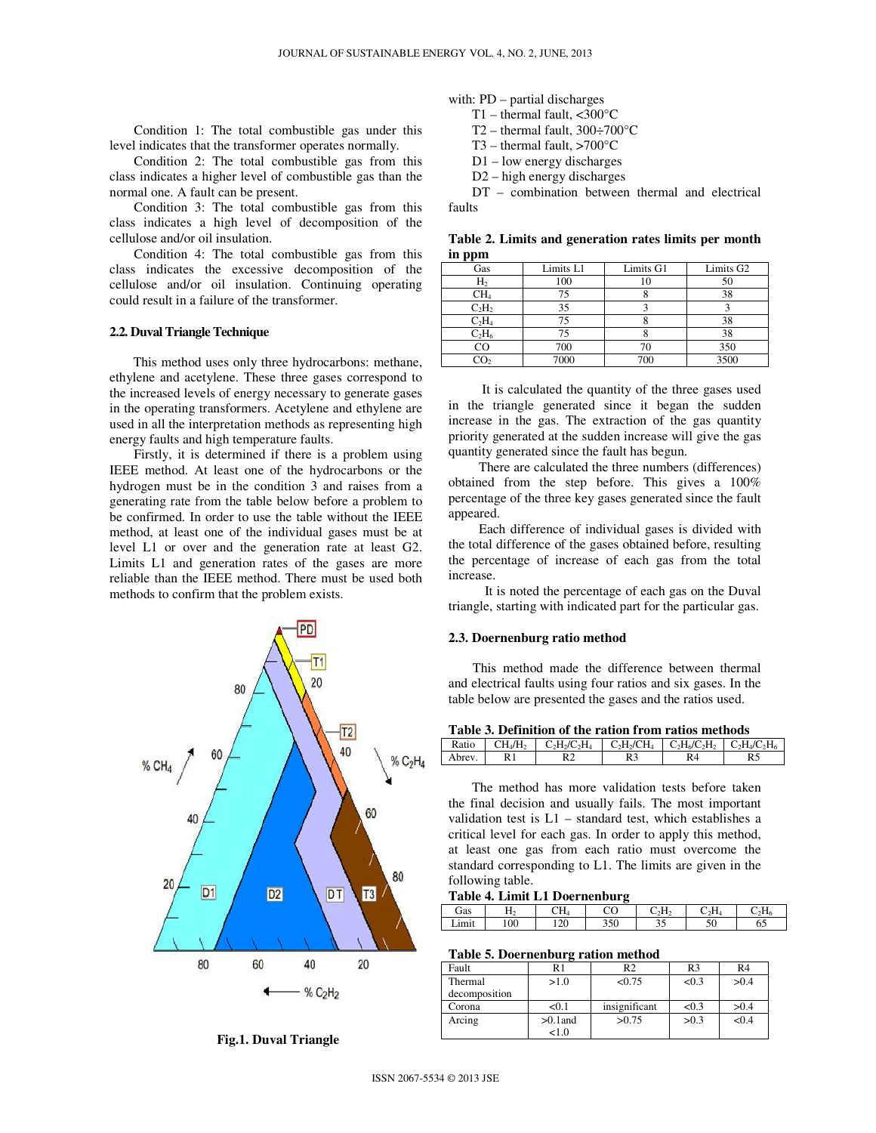Condition 1: The total combustible gas under this level indicates that the transformer operates normally.

Condition 2: The total combustible gas from this class indicates a higher level of combustible gas than the normal one. A fault can be present.

Condition 3: The total combustible gas from this class indicates a high level of decomposition of the cellulose and/or oil insulation.

Condition 4: The total combustible gas from this class indicates the excessive decomposition of the cellulose and/or oil insulation. Continuing operating could result in a failure of the transformer.

#### **2.2. Duval Triangle Technique**

 This method uses only three hydrocarbons: methane, ethylene and acetylene. These three gases correspond to the increased levels of energy necessary to generate gases in the operating transformers. Acetylene and ethylene are used in all the interpretation methods as representing high energy faults and high temperature faults.

Firstly, it is determined if there is a problem using IEEE method. At least one of the hydrocarbons or the hydrogen must be in the condition 3 and raises from a generating rate from the table below before a problem to be confirmed. In order to use the table without the IEEE method, at least one of the individual gases must be at level L1 or over and the generation rate at least G2. Limits L1 and generation rates of the gases are more reliable than the IEEE method. There must be used both methods to confirm that the problem exists.



**Fig.1. Duval Triangle** 

with: PD – partial discharges

T1 – thermal fault,  $\langle 300^\circ \text{C}$ T2 – thermal fault,  $300 \div 700$ °C

- 
- T3 thermal fault,  $>700^{\circ}$ C
- D1 low energy discharges
- D2 high energy discharges

 DT – combination between thermal and electrical faults

**Table 2. Limits and generation rates limits per month in ppm**

| Gas             | Limits L1 | Limits G1 | Limits G <sub>2</sub> |
|-----------------|-----------|-----------|-----------------------|
| H <sub>2</sub>  | 100       |           | 50                    |
| CH <sub>4</sub> | 75        |           | 38                    |
| $C_2H_2$        | 35        |           |                       |
| $C_2H_4$        | 75        |           | 38                    |
| $C_2H_6$        | 75        |           | 38                    |
| $_{\rm CO}$     | 700       |           | 350                   |
|                 | 7000      | 700       | 3500                  |

 It is calculated the quantity of the three gases used in the triangle generated since it began the sudden increase in the gas. The extraction of the gas quantity priority generated at the sudden increase will give the gas quantity generated since the fault has begun.

There are calculated the three numbers (differences) obtained from the step before. This gives a 100% percentage of the three key gases generated since the fault appeared.

Each difference of individual gases is divided with the total difference of the gases obtained before, resulting the percentage of increase of each gas from the total increase.

It is noted the percentage of each gas on the Duval triangle, starting with indicated part for the particular gas.

#### **2.3. Doernenburg ratio method**

This method made the difference between thermal and electrical faults using four ratios and six gases. In the table below are presented the gases and the ratios used.

| Table 3. Definition of the ration from ratios methods |                                 |                 |                   |                                 |  |  |
|-------------------------------------------------------|---------------------------------|-----------------|-------------------|---------------------------------|--|--|
| Ratio                                                 | CH <sub>4</sub> /H <sub>2</sub> | $C_2H_2/C_2H_4$ | $\rm C_2H_2/CH_4$ | $C_2H_6/C_2H_2$ $C_2H_4/C_2H_6$ |  |  |
| Abrev.                                                |                                 |                 |                   | R4                              |  |  |

 The method has more validation tests before taken the final decision and usually fails. The most important validation test is L1 – standard test, which establishes a critical level for each gas. In order to apply this method, at least one gas from each ratio must overcome the standard corresponding to L1. The limits are given in the following table.

**Table 4. Limit L1 Doernenburg** 

| Gas   | -   | $\gamma$ t t<br>UΗ4 | nΩ<br>U | C,H, | $\cdot$ H | <b>TT</b> |
|-------|-----|---------------------|---------|------|-----------|-----------|
| Limit | 100 | $\gamma$<br>⊥∠∪     | 350     |      | υc        | 0.        |

**Table 5. Doernenburg ration method** 

| Fault         | R1         | R <sub>2</sub> | R <sub>3</sub> | R4    |
|---------------|------------|----------------|----------------|-------|
| Thermal       | >1.0       | < 0.75         | < 0.3          | >0.4  |
| decomposition |            |                |                |       |
| Corona        | < 0.1      | insignificant  | < 0.3          | >0.4  |
| Arcing        | $>0.1$ and | >0.75          | >0.3           | < 0.4 |
|               | $^{1.0}$   |                |                |       |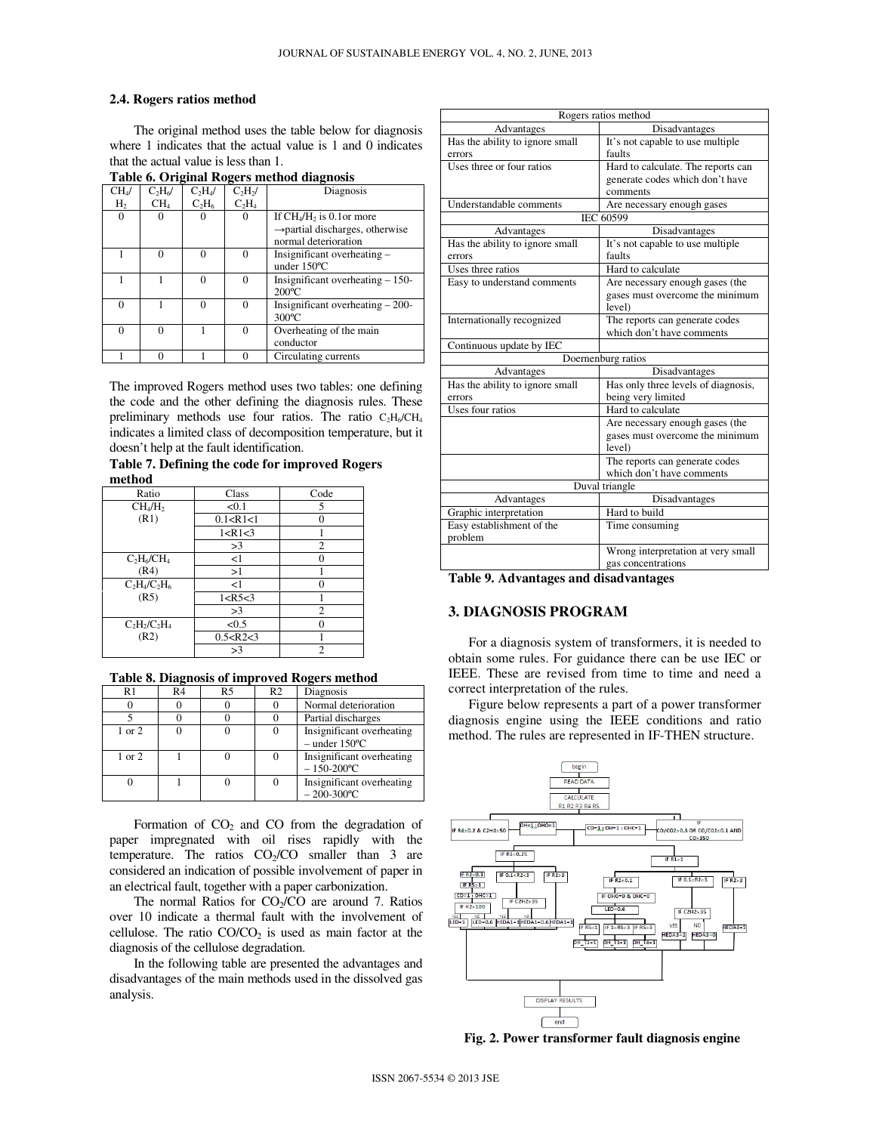### **2.4. Rogers ratios method**

The original method uses the table below for diagnosis where 1 indicates that the actual value is 1 and 0 indicates that the actual value is less than 1.

|  |  |  |  | Table 6. Original Rogers method diagnosis |
|--|--|--|--|-------------------------------------------|
|--|--|--|--|-------------------------------------------|

|                   | $\sim$          |                               |            |                                             |  |  |
|-------------------|-----------------|-------------------------------|------------|---------------------------------------------|--|--|
| CH <sub>4</sub> / | $C_2H_6$        | C <sub>2</sub> H <sub>4</sub> | $C_2H_2$ / | Diagnosis                                   |  |  |
| H,                | CH <sub>4</sub> | $C_2H_6$                      | $C_2H_4$   |                                             |  |  |
| $\Omega$          |                 |                               | 0          | If $CH_4/H_2$ is 0.1 or more                |  |  |
|                   |                 |                               |            | $\rightarrow$ partial discharges, otherwise |  |  |
|                   |                 |                               |            | normal deterioration                        |  |  |
|                   |                 |                               |            | Insignificant overheating -                 |  |  |
|                   |                 |                               |            | under 150°C                                 |  |  |
|                   |                 |                               |            | Insignificant overheating $-150$ -          |  |  |
|                   |                 |                               |            | $200^{\circ}$ C                             |  |  |
| 0                 |                 |                               | $\Omega$   | Insignificant overheating $-200-$           |  |  |
|                   |                 |                               |            | $300^{\circ}$ C                             |  |  |
| $\Omega$          | 0               |                               | 0          | Overheating of the main                     |  |  |
|                   |                 |                               |            | conductor                                   |  |  |
|                   |                 |                               |            | Circulating currents                        |  |  |

The improved Rogers method uses two tables: one defining the code and the other defining the diagnosis rules. These preliminary methods use four ratios. The ratio  $C_2H_6/CH_4$ indicates a limited class of decomposition temperature, but it doesn't help at the fault identification.

**Table 7. Defining the code for improved Rogers method** 

| Ratio                           | Class        | Code           |
|---------------------------------|--------------|----------------|
| CH <sub>4</sub> /H <sub>2</sub> | < 0.1        | 5              |
| (R1)                            | 0.1 < R1 < 1 | 0              |
|                                 | 1 < R1 < 3   |                |
|                                 | >3           | 2              |
| $C_2H_6/CH_4$                   | <1           | 0              |
| (R4)                            | >1           |                |
| $C_2H_4/C_2H_6$                 | <1           | 0              |
| (R5)                            | 1 < R5 < 3   |                |
|                                 | >3           | $\overline{c}$ |
| $C_2H_2/C_2H_4$                 | <0.5         | 0              |
| (R2)                            | 0.5 < R2 < 3 |                |
|                                 | >3           | 2              |

**Table 8. Diagnosis of improved Rogers method** 

٦

| R1     | R4 | R <sub>5</sub> | R2 | Diagnosis                                               |
|--------|----|----------------|----|---------------------------------------------------------|
|        |    |                |    | Normal deterioration                                    |
|        |    |                |    | Partial discharges                                      |
| 1 or 2 |    |                |    | Insignificant overheating<br>$-$ under 150 $^{\circ}$ C |
| 1 or 2 |    |                | 0  | Insignificant overheating<br>$-150-200$ °C              |
|        |    |                |    | Insignificant overheating<br>$-200-300$ °C              |

Formation of  $CO<sub>2</sub>$  and CO from the degradation of paper impregnated with oil rises rapidly with the temperature. The ratios  $CO<sub>2</sub>/CO$  smaller than 3 are considered an indication of possible involvement of paper in an electrical fault, together with a paper carbonization.

The normal Ratios for  $CO<sub>2</sub>/CO$  are around 7. Ratios over 10 indicate a thermal fault with the involvement of cellulose. The ratio  $CO/CO<sub>2</sub>$  is used as main factor at the diagnosis of the cellulose degradation.

In the following table are presented the advantages and disadvantages of the main methods used in the dissolved gas analysis.

| Rogers ratios method            |                                     |  |  |  |
|---------------------------------|-------------------------------------|--|--|--|
| Advantages                      | Disadvantages                       |  |  |  |
| Has the ability to ignore small | It's not capable to use multiple    |  |  |  |
| errors                          | faults                              |  |  |  |
| Uses three or four ratios       | Hard to calculate. The reports can  |  |  |  |
|                                 | generate codes which don't have     |  |  |  |
|                                 | comments                            |  |  |  |
| Understandable comments         | Are necessary enough gases          |  |  |  |
|                                 | IEC 60599                           |  |  |  |
| Advantages                      | Disadvantages                       |  |  |  |
| Has the ability to ignore small | It's not capable to use multiple    |  |  |  |
| errors                          | faults                              |  |  |  |
| Uses three ratios               | Hard to calculate                   |  |  |  |
| Easy to understand comments     | Are necessary enough gases (the     |  |  |  |
|                                 | gases must overcome the minimum     |  |  |  |
|                                 | level)                              |  |  |  |
| Internationally recognized      | The reports can generate codes      |  |  |  |
|                                 | which don't have comments           |  |  |  |
| Continuous update by IEC        |                                     |  |  |  |
|                                 | Doernenburg ratios                  |  |  |  |
| Advantages                      | Disadvantages                       |  |  |  |
| Has the ability to ignore small | Has only three levels of diagnosis, |  |  |  |
| errors                          | being very limited                  |  |  |  |
| Uses four ratios                | Hard to calculate                   |  |  |  |
|                                 | Are necessary enough gases (the     |  |  |  |
|                                 | gases must overcome the minimum     |  |  |  |
|                                 | level)                              |  |  |  |
|                                 | The reports can generate codes      |  |  |  |
|                                 | which don't have comments           |  |  |  |
|                                 | Duval triangle                      |  |  |  |
| Advantages                      | Disadvantages                       |  |  |  |
| Graphic interpretation          | Hard to build                       |  |  |  |
| Easy establishment of the       | Time consuming                      |  |  |  |
| problem                         |                                     |  |  |  |
|                                 | Wrong interpretation at very small  |  |  |  |
|                                 | gas concentrations                  |  |  |  |

**Table 9. Advantages and disadvantages** 

# **3. DIAGNOSIS PROGRAM**

 For a diagnosis system of transformers, it is needed to obtain some rules. For guidance there can be use IEC or IEEE. These are revised from time to time and need a correct interpretation of the rules.

 Figure below represents a part of a power transformer diagnosis engine using the IEEE conditions and ratio method. The rules are represented in IF-THEN structure.



**Fig. 2. Power transformer fault diagnosis engine**